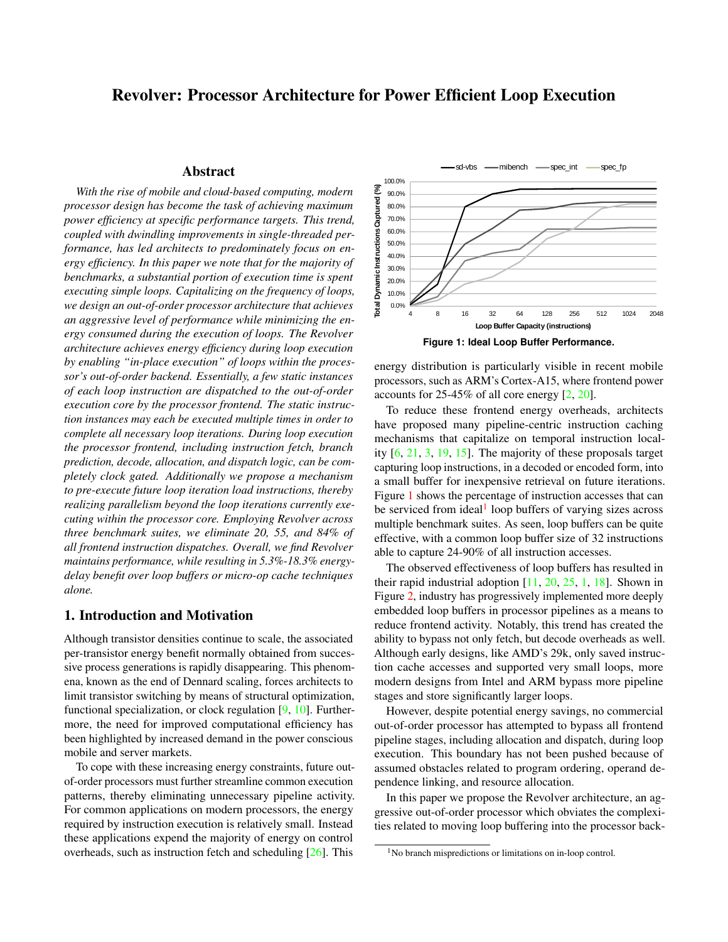# Revolver: Processor Architecture for Power Efficient Loop Execution

### Abstract

*With the rise of mobile and cloud-based computing, modern processor design has become the task of achieving maximum power efficiency at specific performance targets. This trend, coupled with dwindling improvements in single-threaded performance, has led architects to predominately focus on energy efficiency. In this paper we note that for the majority of benchmarks, a substantial portion of execution time is spent executing simple loops. Capitalizing on the frequency of loops, we design an out-of-order processor architecture that achieves an aggressive level of performance while minimizing the energy consumed during the execution of loops. The Revolver architecture achieves energy efficiency during loop execution by enabling "in-place execution" of loops within the processor's out-of-order backend. Essentially, a few static instances of each loop instruction are dispatched to the out-of-order execution core by the processor frontend. The static instruction instances may each be executed multiple times in order to complete all necessary loop iterations. During loop execution the processor frontend, including instruction fetch, branch prediction, decode, allocation, and dispatch logic, can be completely clock gated. Additionally we propose a mechanism to pre-execute future loop iteration load instructions, thereby realizing parallelism beyond the loop iterations currently executing within the processor core. Employing Revolver across three benchmark suites, we eliminate 20, 55, and 84% of all frontend instruction dispatches. Overall, we find Revolver maintains performance, while resulting in 5.3%-18.3% energydelay benefit over loop buffers or micro-op cache techniques alone.*

## 1. Introduction and Motivation

Although transistor densities continue to scale, the associated per-transistor energy benefit normally obtained from successive process generations is rapidly disappearing. This phenomena, known as the end of Dennard scaling, forces architects to limit transistor switching by means of structural optimization, functional specialization, or clock regulation [\[9,](#page-11-0) [10\]](#page-11-1). Furthermore, the need for improved computational efficiency has been highlighted by increased demand in the power conscious mobile and server markets.

To cope with these increasing energy constraints, future outof-order processors must further streamline common execution patterns, thereby eliminating unnecessary pipeline activity. For common applications on modern processors, the energy required by instruction execution is relatively small. Instead these applications expend the majority of energy on control overheads, such as instruction fetch and scheduling [\[26\]](#page-11-2). This

<span id="page-0-0"></span>

**Figure 1: Ideal Loop Buffer Performance.**

energy distribution is particularly visible in recent mobile processors, such as ARM's Cortex-A15, where frontend power accounts for 25-45% of all core energy [\[2,](#page-11-3) [20\]](#page-11-4).

To reduce these frontend energy overheads, architects have proposed many pipeline-centric instruction caching mechanisms that capitalize on temporal instruction locality [\[6,](#page-11-5) [21,](#page-11-6) [3,](#page-11-7) [19,](#page-11-8) [15\]](#page-11-9). The majority of these proposals target capturing loop instructions, in a decoded or encoded form, into a small buffer for inexpensive retrieval on future iterations. Figure [1](#page-0-0) shows the percentage of instruction accesses that can be serviced from ideal<sup>[1](#page-0-1)</sup> loop buffers of varying sizes across multiple benchmark suites. As seen, loop buffers can be quite effective, with a common loop buffer size of 32 instructions able to capture 24-90% of all instruction accesses.

The observed effectiveness of loop buffers has resulted in their rapid industrial adoption  $[11, 20, 25, 1, 18]$  $[11, 20, 25, 1, 18]$  $[11, 20, 25, 1, 18]$  $[11, 20, 25, 1, 18]$  $[11, 20, 25, 1, 18]$  $[11, 20, 25, 1, 18]$  $[11, 20, 25, 1, 18]$  $[11, 20, 25, 1, 18]$  $[11, 20, 25, 1, 18]$ . Shown in Figure [2,](#page-1-0) industry has progressively implemented more deeply embedded loop buffers in processor pipelines as a means to reduce frontend activity. Notably, this trend has created the ability to bypass not only fetch, but decode overheads as well. Although early designs, like AMD's 29k, only saved instruction cache accesses and supported very small loops, more modern designs from Intel and ARM bypass more pipeline stages and store significantly larger loops.

However, despite potential energy savings, no commercial out-of-order processor has attempted to bypass all frontend pipeline stages, including allocation and dispatch, during loop execution. This boundary has not been pushed because of assumed obstacles related to program ordering, operand dependence linking, and resource allocation.

In this paper we propose the Revolver architecture, an aggressive out-of-order processor which obviates the complexities related to moving loop buffering into the processor back-

<span id="page-0-1"></span><sup>&</sup>lt;sup>1</sup>No branch mispredictions or limitations on in-loop control.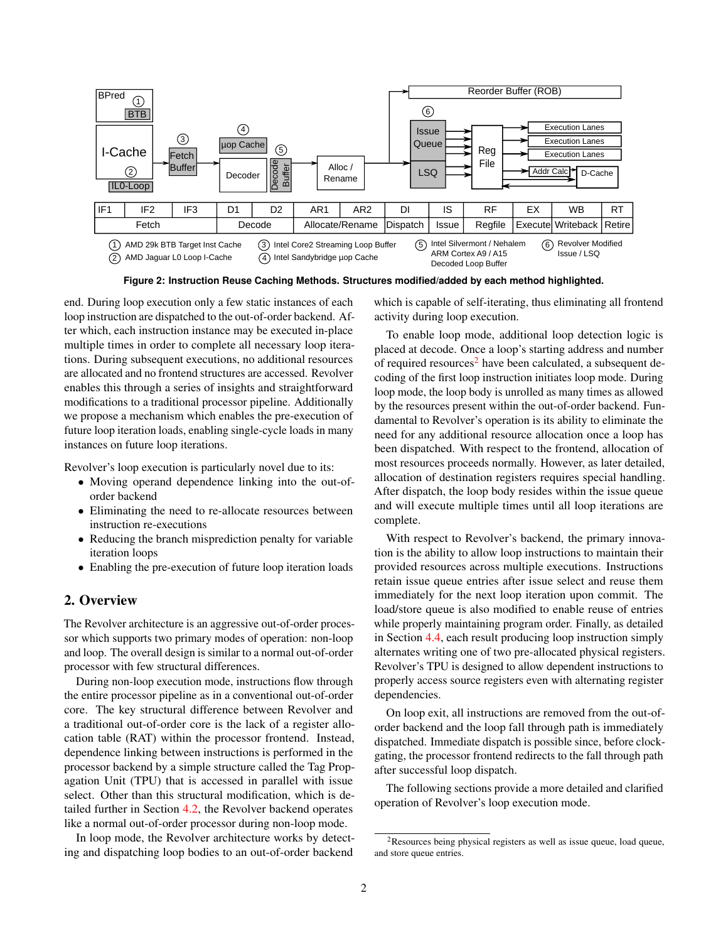<span id="page-1-0"></span>

**Figure 2: Instruction Reuse Caching Methods. Structures modified/added by each method highlighted.**

end. During loop execution only a few static instances of each loop instruction are dispatched to the out-of-order backend. After which, each instruction instance may be executed in-place multiple times in order to complete all necessary loop iterations. During subsequent executions, no additional resources are allocated and no frontend structures are accessed. Revolver enables this through a series of insights and straightforward modifications to a traditional processor pipeline. Additionally we propose a mechanism which enables the pre-execution of future loop iteration loads, enabling single-cycle loads in many instances on future loop iterations.

Revolver's loop execution is particularly novel due to its:

- Moving operand dependence linking into the out-oforder backend
- Eliminating the need to re-allocate resources between instruction re-executions
- Reducing the branch misprediction penalty for variable iteration loops
- Enabling the pre-execution of future loop iteration loads

## 2. Overview

The Revolver architecture is an aggressive out-of-order processor which supports two primary modes of operation: non-loop and loop. The overall design is similar to a normal out-of-order processor with few structural differences.

During non-loop execution mode, instructions flow through the entire processor pipeline as in a conventional out-of-order core. The key structural difference between Revolver and a traditional out-of-order core is the lack of a register allocation table (RAT) within the processor frontend. Instead, dependence linking between instructions is performed in the processor backend by a simple structure called the Tag Propagation Unit (TPU) that is accessed in parallel with issue select. Other than this structural modification, which is detailed further in Section [4.2,](#page-3-0) the Revolver backend operates like a normal out-of-order processor during non-loop mode.

In loop mode, the Revolver architecture works by detecting and dispatching loop bodies to an out-of-order backend which is capable of self-iterating, thus eliminating all frontend activity during loop execution.

To enable loop mode, additional loop detection logic is placed at decode. Once a loop's starting address and number of required resources<sup>[2](#page-1-1)</sup> have been calculated, a subsequent decoding of the first loop instruction initiates loop mode. During loop mode, the loop body is unrolled as many times as allowed by the resources present within the out-of-order backend. Fundamental to Revolver's operation is its ability to eliminate the need for any additional resource allocation once a loop has been dispatched. With respect to the frontend, allocation of most resources proceeds normally. However, as later detailed, allocation of destination registers requires special handling. After dispatch, the loop body resides within the issue queue and will execute multiple times until all loop iterations are complete.

With respect to Revolver's backend, the primary innovation is the ability to allow loop instructions to maintain their provided resources across multiple executions. Instructions retain issue queue entries after issue select and reuse them immediately for the next loop iteration upon commit. The load/store queue is also modified to enable reuse of entries while properly maintaining program order. Finally, as detailed in Section [4.4,](#page-5-0) each result producing loop instruction simply alternates writing one of two pre-allocated physical registers. Revolver's TPU is designed to allow dependent instructions to properly access source registers even with alternating register dependencies.

On loop exit, all instructions are removed from the out-oforder backend and the loop fall through path is immediately dispatched. Immediate dispatch is possible since, before clockgating, the processor frontend redirects to the fall through path after successful loop dispatch.

The following sections provide a more detailed and clarified operation of Revolver's loop execution mode.

<span id="page-1-1"></span><sup>&</sup>lt;sup>2</sup>Resources being physical registers as well as issue queue, load queue, and store queue entries.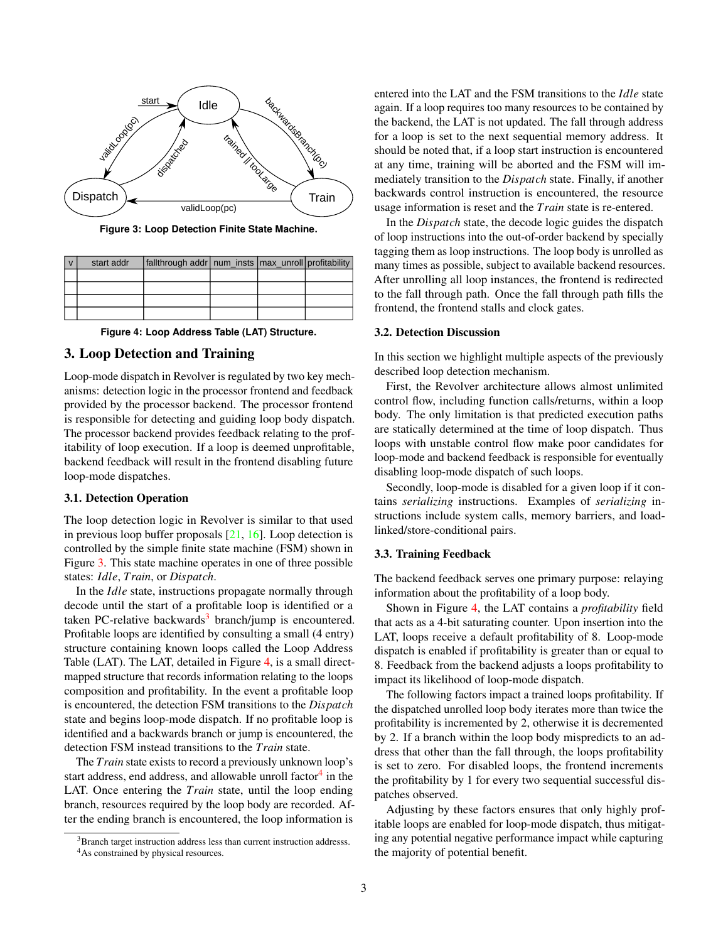<span id="page-2-0"></span>

**Figure 3: Loop Detection Finite State Machine.**

<span id="page-2-2"></span>

| $\mathbf{V}$ | start addr | fallthrough addr   num insts   max unroll   profitability |  |  |
|--------------|------------|-----------------------------------------------------------|--|--|
|              |            |                                                           |  |  |
|              |            |                                                           |  |  |
|              |            |                                                           |  |  |
|              |            |                                                           |  |  |

**Figure 4: Loop Address Table (LAT) Structure.**

## 3. Loop Detection and Training

Loop-mode dispatch in Revolver is regulated by two key mechanisms: detection logic in the processor frontend and feedback provided by the processor backend. The processor frontend is responsible for detecting and guiding loop body dispatch. The processor backend provides feedback relating to the profitability of loop execution. If a loop is deemed unprofitable, backend feedback will result in the frontend disabling future loop-mode dispatches.

### 3.1. Detection Operation

The loop detection logic in Revolver is similar to that used in previous loop buffer proposals [\[21,](#page-11-6) [16\]](#page-11-14). Loop detection is controlled by the simple finite state machine (FSM) shown in Figure [3.](#page-2-0) This state machine operates in one of three possible states: *Idle*, *Train*, or *Dispatch*.

In the *Idle* state, instructions propagate normally through decode until the start of a profitable loop is identified or a taken PC-relative backwards<sup>[3](#page-2-1)</sup> branch/jump is encountered. Profitable loops are identified by consulting a small (4 entry) structure containing known loops called the Loop Address Table (LAT). The LAT, detailed in Figure [4,](#page-2-2) is a small directmapped structure that records information relating to the loops composition and profitability. In the event a profitable loop is encountered, the detection FSM transitions to the *Dispatch* state and begins loop-mode dispatch. If no profitable loop is identified and a backwards branch or jump is encountered, the detection FSM instead transitions to the *Train* state.

The *Train* state exists to record a previously unknown loop's start address, end address, and allowable unroll factor<sup>[4](#page-2-3)</sup> in the LAT. Once entering the *Train* state, until the loop ending branch, resources required by the loop body are recorded. After the ending branch is encountered, the loop information is

entered into the LAT and the FSM transitions to the *Idle* state again. If a loop requires too many resources to be contained by the backend, the LAT is not updated. The fall through address for a loop is set to the next sequential memory address. It should be noted that, if a loop start instruction is encountered at any time, training will be aborted and the FSM will immediately transition to the *Dispatch* state. Finally, if another backwards control instruction is encountered, the resource usage information is reset and the *Train* state is re-entered.

In the *Dispatch* state, the decode logic guides the dispatch of loop instructions into the out-of-order backend by specially tagging them as loop instructions. The loop body is unrolled as many times as possible, subject to available backend resources. After unrolling all loop instances, the frontend is redirected to the fall through path. Once the fall through path fills the frontend, the frontend stalls and clock gates.

#### 3.2. Detection Discussion

In this section we highlight multiple aspects of the previously described loop detection mechanism.

First, the Revolver architecture allows almost unlimited control flow, including function calls/returns, within a loop body. The only limitation is that predicted execution paths are statically determined at the time of loop dispatch. Thus loops with unstable control flow make poor candidates for loop-mode and backend feedback is responsible for eventually disabling loop-mode dispatch of such loops.

Secondly, loop-mode is disabled for a given loop if it contains *serializing* instructions. Examples of *serializing* instructions include system calls, memory barriers, and loadlinked/store-conditional pairs.

### 3.3. Training Feedback

The backend feedback serves one primary purpose: relaying information about the profitability of a loop body.

Shown in Figure [4,](#page-2-2) the LAT contains a *profitability* field that acts as a 4-bit saturating counter. Upon insertion into the LAT, loops receive a default profitability of 8. Loop-mode dispatch is enabled if profitability is greater than or equal to 8. Feedback from the backend adjusts a loops profitability to impact its likelihood of loop-mode dispatch.

The following factors impact a trained loops profitability. If the dispatched unrolled loop body iterates more than twice the profitability is incremented by 2, otherwise it is decremented by 2. If a branch within the loop body mispredicts to an address that other than the fall through, the loops profitability is set to zero. For disabled loops, the frontend increments the profitability by 1 for every two sequential successful dispatches observed.

Adjusting by these factors ensures that only highly profitable loops are enabled for loop-mode dispatch, thus mitigating any potential negative performance impact while capturing the majority of potential benefit.

<span id="page-2-1"></span> $3B$  Branch target instruction address less than current instruction addresss.

<span id="page-2-3"></span><sup>4</sup>As constrained by physical resources.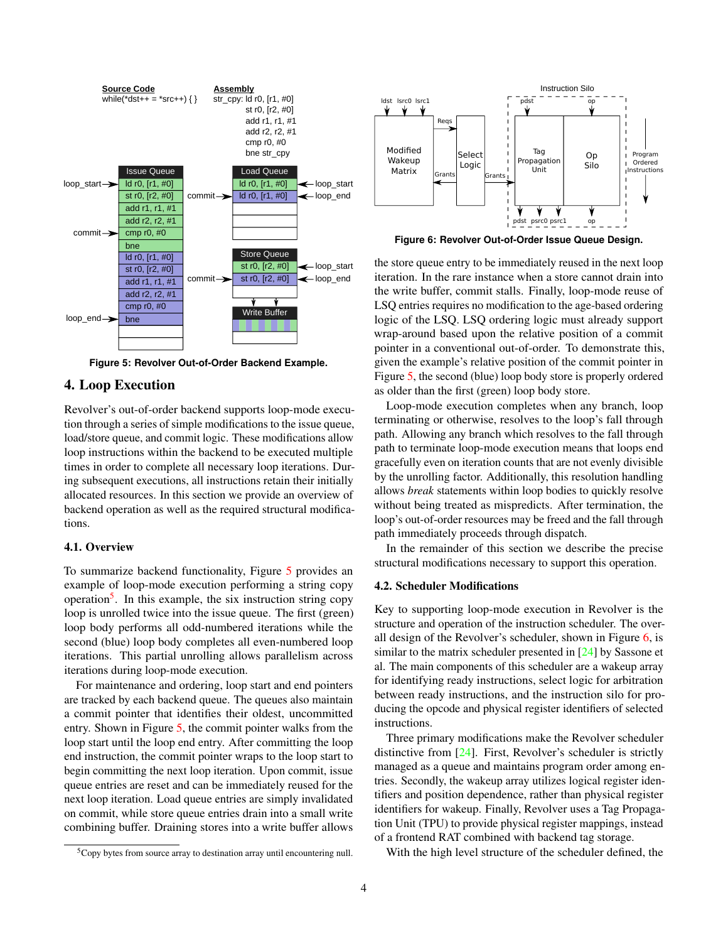<span id="page-3-1"></span>

**Figure 5: Revolver Out-of-Order Backend Example.**

## 4. Loop Execution

Revolver's out-of-order backend supports loop-mode execution through a series of simple modifications to the issue queue, load/store queue, and commit logic. These modifications allow loop instructions within the backend to be executed multiple times in order to complete all necessary loop iterations. During subsequent executions, all instructions retain their initially allocated resources. In this section we provide an overview of backend operation as well as the required structural modifications.

### <span id="page-3-4"></span>4.1. Overview

To summarize backend functionality, Figure [5](#page-3-1) provides an example of loop-mode execution performing a string copy operation<sup>[5](#page-3-2)</sup>. In this example, the six instruction string copy loop is unrolled twice into the issue queue. The first (green) loop body performs all odd-numbered iterations while the second (blue) loop body completes all even-numbered loop iterations. This partial unrolling allows parallelism across iterations during loop-mode execution.

For maintenance and ordering, loop start and end pointers are tracked by each backend queue. The queues also maintain a commit pointer that identifies their oldest, uncommitted entry. Shown in Figure [5,](#page-3-1) the commit pointer walks from the loop start until the loop end entry. After committing the loop end instruction, the commit pointer wraps to the loop start to begin committing the next loop iteration. Upon commit, issue queue entries are reset and can be immediately reused for the next loop iteration. Load queue entries are simply invalidated on commit, while store queue entries drain into a small write combining buffer. Draining stores into a write buffer allows

<span id="page-3-3"></span>

**Figure 6: Revolver Out-of-Order Issue Queue Design.**

the store queue entry to be immediately reused in the next loop iteration. In the rare instance when a store cannot drain into the write buffer, commit stalls. Finally, loop-mode reuse of LSQ entries requires no modification to the age-based ordering logic of the LSQ. LSQ ordering logic must already support wrap-around based upon the relative position of a commit pointer in a conventional out-of-order. To demonstrate this, given the example's relative position of the commit pointer in Figure [5,](#page-3-1) the second (blue) loop body store is properly ordered as older than the first (green) loop body store.

Loop-mode execution completes when any branch, loop terminating or otherwise, resolves to the loop's fall through path. Allowing any branch which resolves to the fall through path to terminate loop-mode execution means that loops end gracefully even on iteration counts that are not evenly divisible by the unrolling factor. Additionally, this resolution handling allows *break* statements within loop bodies to quickly resolve without being treated as mispredicts. After termination, the loop's out-of-order resources may be freed and the fall through path immediately proceeds through dispatch.

In the remainder of this section we describe the precise structural modifications necessary to support this operation.

## <span id="page-3-0"></span>4.2. Scheduler Modifications

Key to supporting loop-mode execution in Revolver is the structure and operation of the instruction scheduler. The overall design of the Revolver's scheduler, shown in Figure  $6$ , is similar to the matrix scheduler presented in [\[24\]](#page-11-15) by Sassone et al. The main components of this scheduler are a wakeup array for identifying ready instructions, select logic for arbitration between ready instructions, and the instruction silo for producing the opcode and physical register identifiers of selected instructions.

Three primary modifications make the Revolver scheduler distinctive from [\[24\]](#page-11-15). First, Revolver's scheduler is strictly managed as a queue and maintains program order among entries. Secondly, the wakeup array utilizes logical register identifiers and position dependence, rather than physical register identifiers for wakeup. Finally, Revolver uses a Tag Propagation Unit (TPU) to provide physical register mappings, instead of a frontend RAT combined with backend tag storage.

With the high level structure of the scheduler defined, the

<span id="page-3-2"></span> $5C$ opy bytes from source array to destination array until encountering null.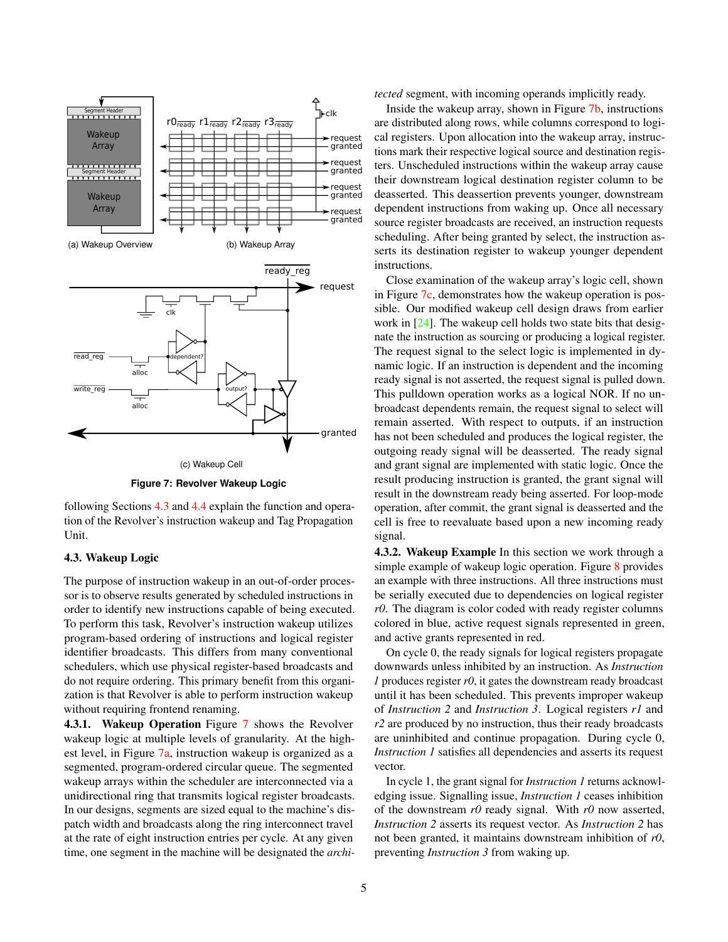<span id="page-4-4"></span><span id="page-4-3"></span><span id="page-4-2"></span><span id="page-4-1"></span>

**Figure 7: Revolver Wakeup Logic**

following Sections [4.3](#page-4-0) and [4.4](#page-5-0) explain the function and operation of the Revolver's instruction wakeup and Tag Propagation Unit.

## <span id="page-4-0"></span>4.3. Wakeup Logic

The purpose of instruction wakeup in an out-of-order processor is to observe results generated by scheduled instructions in order to identify new instructions capable of being executed. To perform this task, Revolver's instruction wakeup utilizes program-based ordering of instructions and logical register identifier broadcasts. This differs from many conventional schedulers, which use physical register-based broadcasts and do not require ordering. This primary benefit from this organization is that Revolver is able to perform instruction wakeup without requiring frontend renaming.

4.3.1. Wakeup Operation Figure [7](#page-4-1) shows the Revolver wakeup logic at multiple levels of granularity. At the highest level, in Figure [7a,](#page-4-2) instruction wakeup is organized as a segmented, program-ordered circular queue. The segmented wakeup arrays within the scheduler are interconnected via a unidirectional ring that transmits logical register broadcasts. In our designs, segments are sized equal to the machine's dispatch width and broadcasts along the ring interconnect travel at the rate of eight instruction entries per cycle. At any given time, one segment in the machine will be designated the *archi-* *tected* segment, with incoming operands implicitly ready.

Inside the wakeup array, shown in Figure [7b,](#page-4-3) instructions are distributed along rows, while columns correspond to logical registers. Upon allocation into the wakeup array, instructions mark their respective logical source and destination registers. Unscheduled instructions within the wakeup array cause their downstream logical destination register column to be deasserted. This deassertion prevents younger, downstream dependent instructions from waking up. Once all necessary source register broadcasts are received, an instruction requests scheduling. After being granted by select, the instruction asserts its destination register to wakeup younger dependent instructions.

Close examination of the wakeup array's logic cell, shown in Figure [7c,](#page-4-4) demonstrates how the wakeup operation is possible. Our modified wakeup cell design draws from earlier work in [\[24\]](#page-11-15). The wakeup cell holds two state bits that designate the instruction as sourcing or producing a logical register. The request signal to the select logic is implemented in dynamic logic. If an instruction is dependent and the incoming ready signal is not asserted, the request signal is pulled down. This pulldown operation works as a logical NOR. If no unbroadcast dependents remain, the request signal to select will remain asserted. With respect to outputs, if an instruction has not been scheduled and produces the logical register, the outgoing ready signal will be deasserted. The ready signal and grant signal are implemented with static logic. Once the result producing instruction is granted, the grant signal will result in the downstream ready being asserted. For loop-mode operation, after commit, the grant signal is deasserted and the cell is free to reevaluate based upon a new incoming ready signal.

4.3.2. Wakeup Example In this section we work through a simple example of wakeup logic operation. Figure [8](#page-5-1) provides an example with three instructions. All three instructions must be serially executed due to dependencies on logical register *r0*. The diagram is color coded with ready register columns colored in blue, active request signals represented in green, and active grants represented in red.

On cycle 0, the ready signals for logical registers propagate downwards unless inhibited by an instruction. As *Instruction 1* produces register *r0*, it gates the downstream ready broadcast until it has been scheduled. This prevents improper wakeup of *Instruction 2* and *Instruction 3*. Logical registers *r1* and *r2* are produced by no instruction, thus their ready broadcasts are uninhibited and continue propagation. During cycle 0, *Instruction 1* satisfies all dependencies and asserts its request vector.

In cycle 1, the grant signal for *Instruction 1* returns acknowledging issue. Signalling issue, *Instruction 1* ceases inhibition of the downstream *r0* ready signal. With *r0* now asserted, *Instruction 2* asserts its request vector. As *Instruction 2* has not been granted, it maintains downstream inhibition of *r0*, preventing *Instruction 3* from waking up.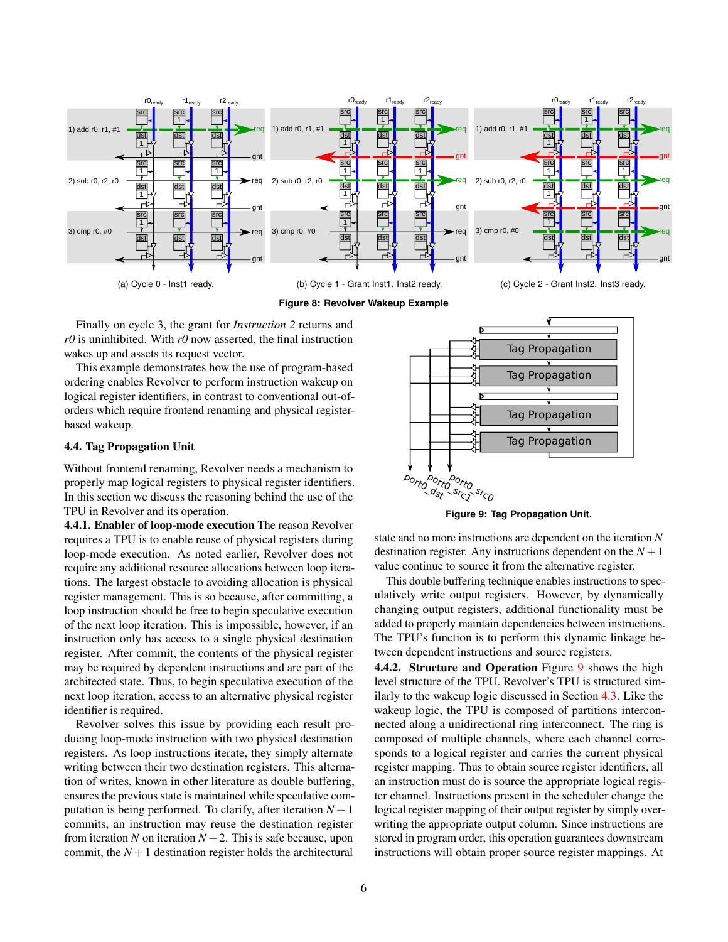<span id="page-5-1"></span>

**Figure 8: Revolver Wakeup Example**

Finally on cycle 3, the grant for *Instruction 2* returns and *r0* is uninhibited. With *r0* now asserted, the final instruction wakes up and assets its request vector.

This example demonstrates how the use of program-based ordering enables Revolver to perform instruction wakeup on logical register identifiers, in contrast to conventional out-oforders which require frontend renaming and physical registerbased wakeup.

### <span id="page-5-0"></span>4.4. Tag Propagation Unit

Without frontend renaming, Revolver needs a mechanism to properly map logical registers to physical register identifiers. In this section we discuss the reasoning behind the use of the TPU in Revolver and its operation.

4.4.1. Enabler of loop-mode execution The reason Revolver requires a TPU is to enable reuse of physical registers during loop-mode execution. As noted earlier, Revolver does not require any additional resource allocations between loop iterations. The largest obstacle to avoiding allocation is physical register management. This is so because, after committing, a loop instruction should be free to begin speculative execution of the next loop iteration. This is impossible, however, if an instruction only has access to a single physical destination register. After commit, the contents of the physical register may be required by dependent instructions and are part of the architected state. Thus, to begin speculative execution of the next loop iteration, access to an alternative physical register identifier is required.

Revolver solves this issue by providing each result producing loop-mode instruction with two physical destination registers. As loop instructions iterate, they simply alternate writing between their two destination registers. This alternation of writes, known in other literature as double buffering, ensures the previous state is maintained while speculative computation is being performed. To clarify, after iteration  $N+1$ commits, an instruction may reuse the destination register from iteration *N* on iteration  $N + 2$ . This is safe because, upon commit, the  $N+1$  destination register holds the architectural

<span id="page-5-2"></span>

**Figure 9: Tag Propagation Unit.**

state and no more instructions are dependent on the iteration *N* destination register. Any instructions dependent on the  $N+1$ value continue to source it from the alternative register.

This double buffering technique enables instructions to speculatively write output registers. However, by dynamically changing output registers, additional functionality must be added to properly maintain dependencies between instructions. The TPU's function is to perform this dynamic linkage between dependent instructions and source registers.

4.4.2. Structure and Operation Figure [9](#page-5-2) shows the high level structure of the TPU. Revolver's TPU is structured similarly to the wakeup logic discussed in Section [4.3.](#page-4-0) Like the wakeup logic, the TPU is composed of partitions interconnected along a unidirectional ring interconnect. The ring is composed of multiple channels, where each channel corresponds to a logical register and carries the current physical register mapping. Thus to obtain source register identifiers, all an instruction must do is source the appropriate logical register channel. Instructions present in the scheduler change the logical register mapping of their output register by simply overwriting the appropriate output column. Since instructions are stored in program order, this operation guarantees downstream instructions will obtain proper source register mappings. At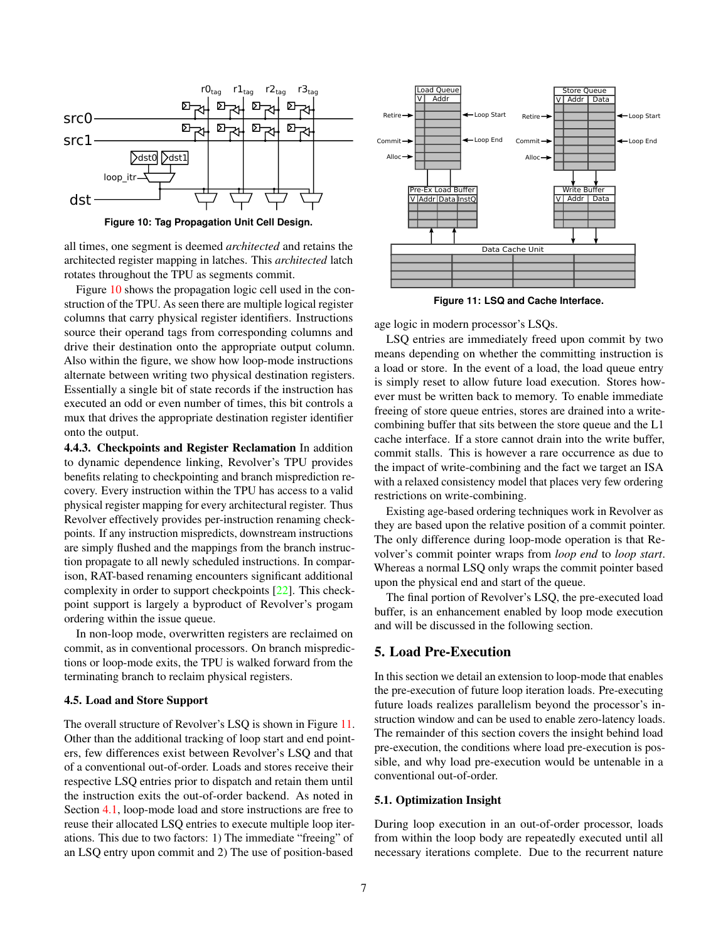<span id="page-6-0"></span>

**Figure 10: Tag Propagation Unit Cell Design.**

all times, one segment is deemed *architected* and retains the architected register mapping in latches. This *architected* latch rotates throughout the TPU as segments commit.

Figure [10](#page-6-0) shows the propagation logic cell used in the construction of the TPU. As seen there are multiple logical register columns that carry physical register identifiers. Instructions source their operand tags from corresponding columns and drive their destination onto the appropriate output column. Also within the figure, we show how loop-mode instructions alternate between writing two physical destination registers. Essentially a single bit of state records if the instruction has executed an odd or even number of times, this bit controls a mux that drives the appropriate destination register identifier onto the output.

4.4.3. Checkpoints and Register Reclamation In addition to dynamic dependence linking, Revolver's TPU provides benefits relating to checkpointing and branch misprediction recovery. Every instruction within the TPU has access to a valid physical register mapping for every architectural register. Thus Revolver effectively provides per-instruction renaming checkpoints. If any instruction mispredicts, downstream instructions are simply flushed and the mappings from the branch instruction propagate to all newly scheduled instructions. In comparison, RAT-based renaming encounters significant additional complexity in order to support checkpoints [\[22\]](#page-11-16). This checkpoint support is largely a byproduct of Revolver's progam ordering within the issue queue.

In non-loop mode, overwritten registers are reclaimed on commit, as in conventional processors. On branch mispredictions or loop-mode exits, the TPU is walked forward from the terminating branch to reclaim physical registers.

## 4.5. Load and Store Support

The overall structure of Revolver's LSQ is shown in Figure [11.](#page-6-1) Other than the additional tracking of loop start and end pointers, few differences exist between Revolver's LSQ and that of a conventional out-of-order. Loads and stores receive their respective LSQ entries prior to dispatch and retain them until the instruction exits the out-of-order backend. As noted in Section [4.1,](#page-3-4) loop-mode load and store instructions are free to reuse their allocated LSQ entries to execute multiple loop iterations. This due to two factors: 1) The immediate "freeing" of an LSQ entry upon commit and 2) The use of position-based

<span id="page-6-1"></span>

**Figure 11: LSQ and Cache Interface.**

age logic in modern processor's LSQs.

LSQ entries are immediately freed upon commit by two means depending on whether the committing instruction is a load or store. In the event of a load, the load queue entry is simply reset to allow future load execution. Stores however must be written back to memory. To enable immediate freeing of store queue entries, stores are drained into a writecombining buffer that sits between the store queue and the L1 cache interface. If a store cannot drain into the write buffer, commit stalls. This is however a rare occurrence as due to the impact of write-combining and the fact we target an ISA with a relaxed consistency model that places very few ordering restrictions on write-combining.

Existing age-based ordering techniques work in Revolver as they are based upon the relative position of a commit pointer. The only difference during loop-mode operation is that Revolver's commit pointer wraps from *loop end* to *loop start*. Whereas a normal LSQ only wraps the commit pointer based upon the physical end and start of the queue.

The final portion of Revolver's LSQ, the pre-executed load buffer, is an enhancement enabled by loop mode execution and will be discussed in the following section.

## 5. Load Pre-Execution

In this section we detail an extension to loop-mode that enables the pre-execution of future loop iteration loads. Pre-executing future loads realizes parallelism beyond the processor's instruction window and can be used to enable zero-latency loads. The remainder of this section covers the insight behind load pre-execution, the conditions where load pre-execution is possible, and why load pre-execution would be untenable in a conventional out-of-order.

#### 5.1. Optimization Insight

During loop execution in an out-of-order processor, loads from within the loop body are repeatedly executed until all necessary iterations complete. Due to the recurrent nature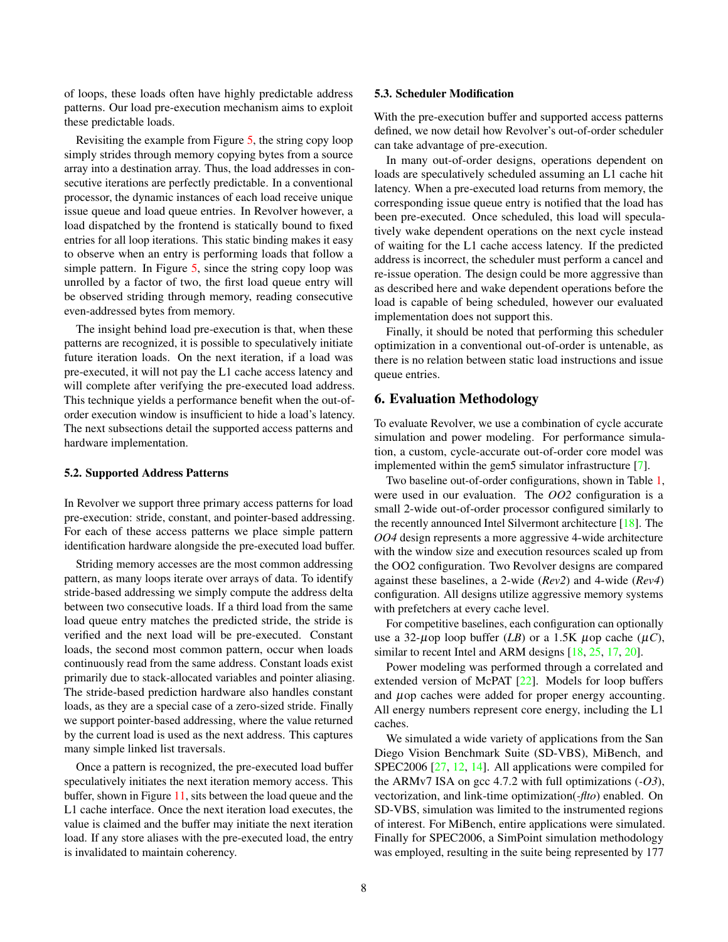of loops, these loads often have highly predictable address patterns. Our load pre-execution mechanism aims to exploit these predictable loads.

Revisiting the example from Figure [5,](#page-3-1) the string copy loop simply strides through memory copying bytes from a source array into a destination array. Thus, the load addresses in consecutive iterations are perfectly predictable. In a conventional processor, the dynamic instances of each load receive unique issue queue and load queue entries. In Revolver however, a load dispatched by the frontend is statically bound to fixed entries for all loop iterations. This static binding makes it easy to observe when an entry is performing loads that follow a simple pattern. In Figure [5,](#page-3-1) since the string copy loop was unrolled by a factor of two, the first load queue entry will be observed striding through memory, reading consecutive even-addressed bytes from memory.

The insight behind load pre-execution is that, when these patterns are recognized, it is possible to speculatively initiate future iteration loads. On the next iteration, if a load was pre-executed, it will not pay the L1 cache access latency and will complete after verifying the pre-executed load address. This technique yields a performance benefit when the out-oforder execution window is insufficient to hide a load's latency. The next subsections detail the supported access patterns and hardware implementation.

#### 5.2. Supported Address Patterns

In Revolver we support three primary access patterns for load pre-execution: stride, constant, and pointer-based addressing. For each of these access patterns we place simple pattern identification hardware alongside the pre-executed load buffer.

Striding memory accesses are the most common addressing pattern, as many loops iterate over arrays of data. To identify stride-based addressing we simply compute the address delta between two consecutive loads. If a third load from the same load queue entry matches the predicted stride, the stride is verified and the next load will be pre-executed. Constant loads, the second most common pattern, occur when loads continuously read from the same address. Constant loads exist primarily due to stack-allocated variables and pointer aliasing. The stride-based prediction hardware also handles constant loads, as they are a special case of a zero-sized stride. Finally we support pointer-based addressing, where the value returned by the current load is used as the next address. This captures many simple linked list traversals.

Once a pattern is recognized, the pre-executed load buffer speculatively initiates the next iteration memory access. This buffer, shown in Figure [11,](#page-6-1) sits between the load queue and the L1 cache interface. Once the next iteration load executes, the value is claimed and the buffer may initiate the next iteration load. If any store aliases with the pre-executed load, the entry is invalidated to maintain coherency.

#### 5.3. Scheduler Modification

With the pre-execution buffer and supported access patterns defined, we now detail how Revolver's out-of-order scheduler can take advantage of pre-execution.

In many out-of-order designs, operations dependent on loads are speculatively scheduled assuming an L1 cache hit latency. When a pre-executed load returns from memory, the corresponding issue queue entry is notified that the load has been pre-executed. Once scheduled, this load will speculatively wake dependent operations on the next cycle instead of waiting for the L1 cache access latency. If the predicted address is incorrect, the scheduler must perform a cancel and re-issue operation. The design could be more aggressive than as described here and wake dependent operations before the load is capable of being scheduled, however our evaluated implementation does not support this.

Finally, it should be noted that performing this scheduler optimization in a conventional out-of-order is untenable, as there is no relation between static load instructions and issue queue entries.

## 6. Evaluation Methodology

To evaluate Revolver, we use a combination of cycle accurate simulation and power modeling. For performance simulation, a custom, cycle-accurate out-of-order core model was implemented within the gem5 simulator infrastructure [\[7\]](#page-11-17).

Two baseline out-of-order configurations, shown in Table [1,](#page-8-0) were used in our evaluation. The *OO2* configuration is a small 2-wide out-of-order processor configured similarly to the recently announced Intel Silvermont architecture [\[18\]](#page-11-13). The *OO4* design represents a more aggressive 4-wide architecture with the window size and execution resources scaled up from the OO2 configuration. Two Revolver designs are compared against these baselines, a 2-wide (*Rev2*) and 4-wide (*Rev4*) configuration. All designs utilize aggressive memory systems with prefetchers at every cache level.

For competitive baselines, each configuration can optionally use a 32- $\mu$ op loop buffer (*LB*) or a 1.5K  $\mu$ op cache ( $\mu$ *C*), similar to recent Intel and ARM designs [\[18,](#page-11-13) [25,](#page-11-11) [17,](#page-11-18) [20\]](#page-11-4).

Power modeling was performed through a correlated and extended version of McPAT [\[22\]](#page-11-16). Models for loop buffers and  $\mu$ op caches were added for proper energy accounting. All energy numbers represent core energy, including the L1 caches.

We simulated a wide variety of applications from the San Diego Vision Benchmark Suite (SD-VBS), MiBench, and SPEC2006 [\[27,](#page-11-19) [12,](#page-11-20) [14\]](#page-11-21). All applications were compiled for the ARMv7 ISA on gcc 4.7.2 with full optimizations (*-O3*), vectorization, and link-time optimization(*-flto*) enabled. On SD-VBS, simulation was limited to the instrumented regions of interest. For MiBench, entire applications were simulated. Finally for SPEC2006, a SimPoint simulation methodology was employed, resulting in the suite being represented by 177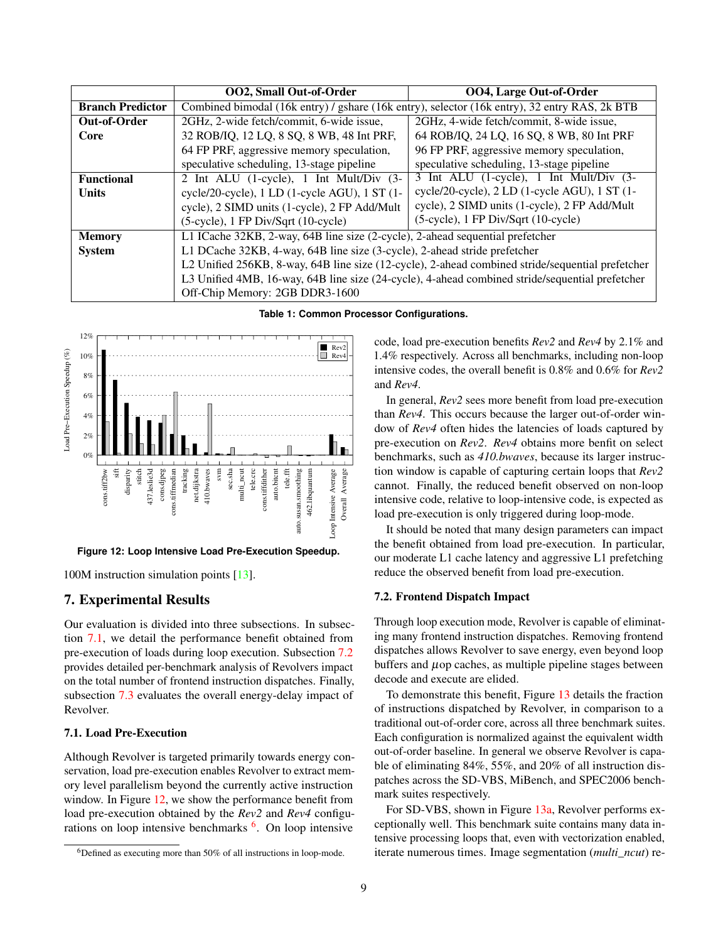<span id="page-8-0"></span>

|                         | OO2, Small Out-of-Order                                                                          | <b>OO4, Large Out-of-Order</b>                |  |  |  |
|-------------------------|--------------------------------------------------------------------------------------------------|-----------------------------------------------|--|--|--|
| <b>Branch Predictor</b> | Combined bimodal (16k entry) / gshare (16k entry), selector (16k entry), 32 entry RAS, 2k BTB    |                                               |  |  |  |
| Out-of-Order            | 2GHz, 2-wide fetch/commit, 6-wide issue,                                                         | 2GHz, 4-wide fetch/commit, 8-wide issue,      |  |  |  |
| Core                    | 32 ROB/IQ, 12 LQ, 8 SQ, 8 WB, 48 Int PRF,                                                        | 64 ROB/IQ, 24 LQ, 16 SQ, 8 WB, 80 Int PRF     |  |  |  |
|                         | 64 FP PRF, aggressive memory speculation,                                                        | 96 FP PRF, aggressive memory speculation,     |  |  |  |
|                         | speculative scheduling, 13-stage pipeline                                                        | speculative scheduling, 13-stage pipeline     |  |  |  |
| <b>Functional</b>       | 2 Int ALU (1-cycle), 1 Int Mult/Div (3-                                                          | 3 Int ALU (1-cycle), 1 Int Mult/Div (3-       |  |  |  |
| <b>Units</b>            | cycle/20-cycle), 1 LD (1-cycle AGU), 1 ST (1-                                                    | cycle/20-cycle), 2 LD (1-cycle AGU), 1 ST (1- |  |  |  |
|                         | cycle), 2 SIMD units (1-cycle), 2 FP Add/Mult                                                    | cycle), 2 SIMD units (1-cycle), 2 FP Add/Mult |  |  |  |
|                         | (5-cycle), 1 FP Div/Sqrt (10-cycle)                                                              | (5-cycle), 1 FP Div/Sqrt (10-cycle)           |  |  |  |
| <b>Memory</b>           | L1 ICache 32KB, 2-way, 64B line size (2-cycle), 2-ahead sequential prefetcher                    |                                               |  |  |  |
| <b>System</b>           | L1 DCache 32KB, 4-way, 64B line size (3-cycle), 2-ahead stride prefetcher                        |                                               |  |  |  |
|                         | L2 Unified 256KB, 8-way, 64B line size (12-cycle), 2-ahead combined stride/sequential prefetcher |                                               |  |  |  |
|                         | L3 Unified 4MB, 16-way, 64B line size (24-cycle), 4-ahead combined stride/sequential prefetcher  |                                               |  |  |  |
|                         | Off-Chip Memory: 2GB DDR3-1600                                                                   |                                               |  |  |  |

<span id="page-8-3"></span>

**Figure 12: Loop Intensive Load Pre-Execution Speedup.**

100M instruction simulation points [\[13\]](#page-11-22).

## 7. Experimental Results

Our evaluation is divided into three subsections. In subsection [7.1,](#page-8-1) we detail the performance benefit obtained from pre-execution of loads during loop execution. Subsection [7.2](#page-8-2) provides detailed per-benchmark analysis of Revolvers impact on the total number of frontend instruction dispatches. Finally, subsection [7.3](#page-9-0) evaluates the overall energy-delay impact of Revolver.

## <span id="page-8-1"></span>7.1. Load Pre-Execution

Although Revolver is targeted primarily towards energy conservation, load pre-execution enables Revolver to extract memory level parallelism beyond the currently active instruction window. In Figure [12,](#page-8-3) we show the performance benefit from load pre-execution obtained by the *Rev2* and *Rev4* configu-rations on loop intensive benchmarks <sup>[6](#page-8-4)</sup>. On loop intensive

**Table 1: Common Processor Configurations.**

code, load pre-execution benefits *Rev2* and *Rev4* by 2.1% and 1.4% respectively. Across all benchmarks, including non-loop intensive codes, the overall benefit is 0.8% and 0.6% for *Rev2* and *Rev4*.

In general, *Rev2* sees more benefit from load pre-execution than *Rev4*. This occurs because the larger out-of-order window of *Rev4* often hides the latencies of loads captured by pre-execution on *Rev2*. *Rev4* obtains more benfit on select benchmarks, such as *410.bwaves*, because its larger instruction window is capable of capturing certain loops that *Rev2* cannot. Finally, the reduced benefit observed on non-loop intensive code, relative to loop-intensive code, is expected as load pre-execution is only triggered during loop-mode.

It should be noted that many design parameters can impact the benefit obtained from load pre-execution. In particular, our moderate L1 cache latency and aggressive L1 prefetching reduce the observed benefit from load pre-execution.

## <span id="page-8-2"></span>7.2. Frontend Dispatch Impact

Through loop execution mode, Revolver is capable of eliminating many frontend instruction dispatches. Removing frontend dispatches allows Revolver to save energy, even beyond loop buffers and  $\mu$  op caches, as multiple pipeline stages between decode and execute are elided.

To demonstrate this benefit, Figure [13](#page-9-1) details the fraction of instructions dispatched by Revolver, in comparison to a traditional out-of-order core, across all three benchmark suites. Each configuration is normalized against the equivalent width out-of-order baseline. In general we observe Revolver is capable of eliminating 84%, 55%, and 20% of all instruction dispatches across the SD-VBS, MiBench, and SPEC2006 benchmark suites respectively.

For SD-VBS, shown in Figure [13a,](#page-9-2) Revolver performs exceptionally well. This benchmark suite contains many data intensive processing loops that, even with vectorization enabled, iterate numerous times. Image segmentation (*multi\_ncut*) re-

<span id="page-8-4"></span> $6$ Defined as executing more than 50% of all instructions in loop-mode.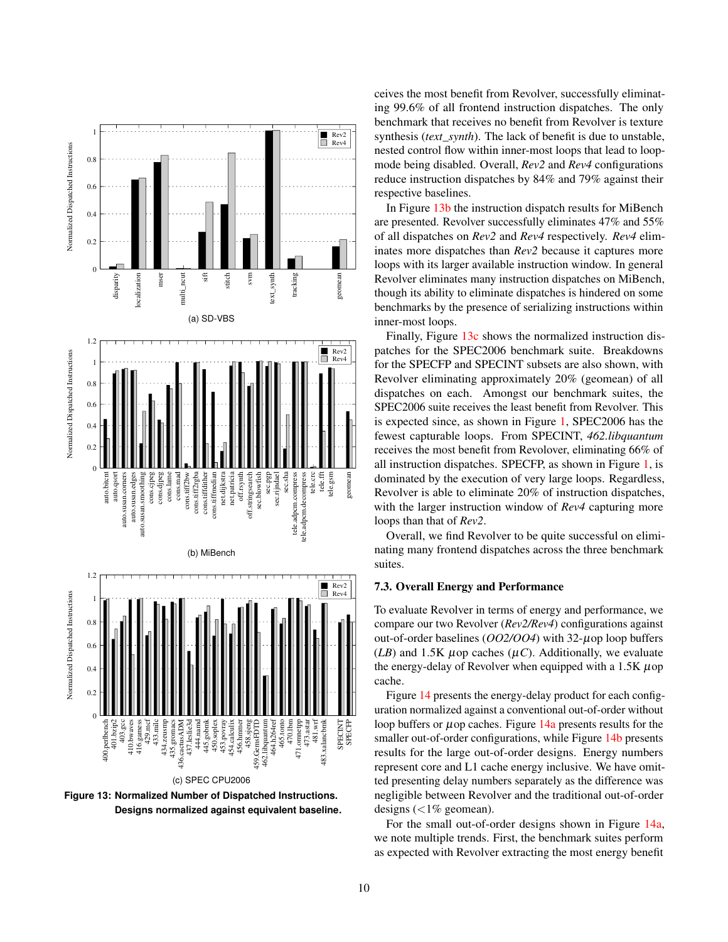<span id="page-9-3"></span><span id="page-9-2"></span><span id="page-9-1"></span>

<span id="page-9-4"></span>**Figure 13: Normalized Number of Dispatched Instructions. Designs normalized against equivalent baseline.**

ceives the most benefit from Revolver, successfully eliminating 99.6% of all frontend instruction dispatches. The only benchmark that receives no benefit from Revolver is texture synthesis (*text\_synth*). The lack of benefit is due to unstable, nested control flow within inner-most loops that lead to loopmode being disabled. Overall, *Rev2* and *Rev4* configurations reduce instruction dispatches by 84% and 79% against their respective baselines.

In Figure [13b](#page-9-3) the instruction dispatch results for MiBench are presented. Revolver successfully eliminates 47% and 55% of all dispatches on *Rev2* and *Rev4* respectively. *Rev4* eliminates more dispatches than *Rev2* because it captures more loops with its larger available instruction window. In general Revolver eliminates many instruction dispatches on MiBench, though its ability to eliminate dispatches is hindered on some benchmarks by the presence of serializing instructions within inner-most loops.

Finally, Figure [13c](#page-9-4) shows the normalized instruction dispatches for the SPEC2006 benchmark suite. Breakdowns for the SPECFP and SPECINT subsets are also shown, with Revolver eliminating approximately 20% (geomean) of all dispatches on each. Amongst our benchmark suites, the SPEC2006 suite receives the least benefit from Revolver. This is expected since, as shown in Figure [1,](#page-0-0) SPEC2006 has the fewest capturable loops. From SPECINT, *462.libquantum* receives the most benefit from Revolover, eliminating 66% of all instruction dispatches. SPECFP, as shown in Figure [1,](#page-0-0) is dominated by the execution of very large loops. Regardless, Revolver is able to eliminate 20% of instruction dispatches, with the larger instruction window of *Rev4* capturing more loops than that of *Rev2*.

Overall, we find Revolver to be quite successful on eliminating many frontend dispatches across the three benchmark suites.

#### <span id="page-9-0"></span>7.3. Overall Energy and Performance

To evaluate Revolver in terms of energy and performance, we compare our two Revolver (*Rev2/Rev4*) configurations against out-of-order baselines (*OO2/OO4*) with 32-µop loop buffers (*LB*) and 1.5K  $\mu$ op caches ( $\mu$ *C*). Additionally, we evaluate the energy-delay of Revolver when equipped with a  $1.5K \mu$ op cache.

Figure [14](#page-10-0) presents the energy-delay product for each configuration normalized against a conventional out-of-order without loop buffers or  $\mu$  op caches. Figure [14a](#page-10-1) presents results for the smaller out-of-order configurations, while Figure [14b](#page-10-2) presents results for the large out-of-order designs. Energy numbers represent core and L1 cache energy inclusive. We have omitted presenting delay numbers separately as the difference was negligible between Revolver and the traditional out-of-order designs  $\left($  <1% geomean).

For the small out-of-order designs shown in Figure [14a,](#page-10-1) we note multiple trends. First, the benchmark suites perform as expected with Revolver extracting the most energy benefit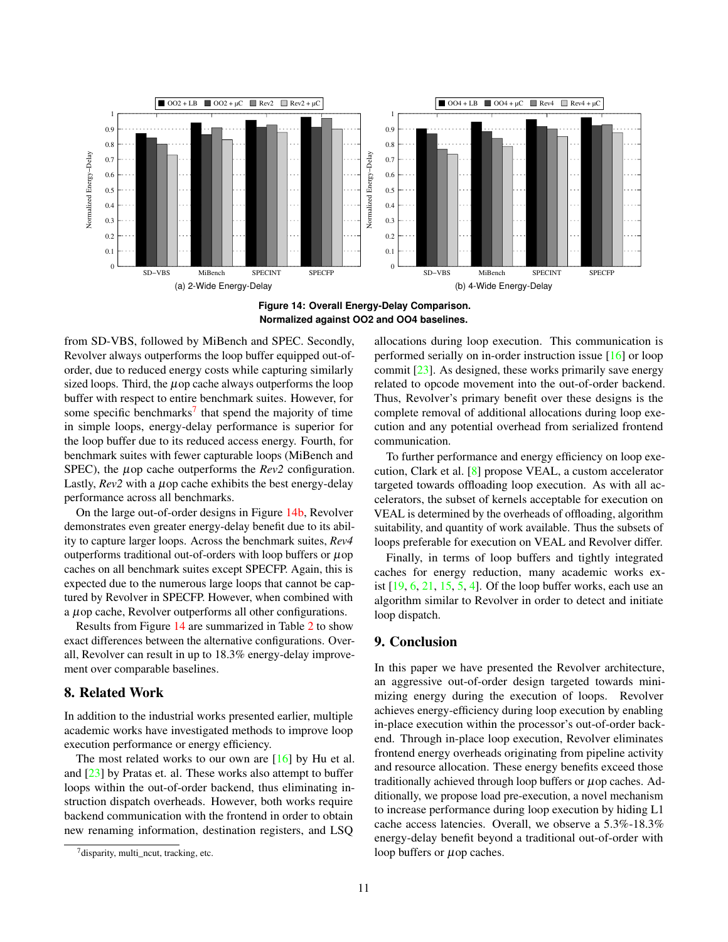<span id="page-10-1"></span><span id="page-10-0"></span>

**Normalized against OO2 and OO4 baselines.**

from SD-VBS, followed by MiBench and SPEC. Secondly, Revolver always outperforms the loop buffer equipped out-oforder, due to reduced energy costs while capturing similarly sized loops. Third, the  $\mu$  op cache always outperforms the loop buffer with respect to entire benchmark suites. However, for some specific benchmarks<sup>[7](#page-10-3)</sup> that spend the majority of time in simple loops, energy-delay performance is superior for the loop buffer due to its reduced access energy. Fourth, for benchmark suites with fewer capturable loops (MiBench and SPEC), the *µ*op cache outperforms the *Rev2* configuration. Lastly,  $Rev2$  with a  $\mu$ op cache exhibits the best energy-delay performance across all benchmarks.

On the large out-of-order designs in Figure [14b,](#page-10-2) Revolver demonstrates even greater energy-delay benefit due to its ability to capture larger loops. Across the benchmark suites, *Rev4* outperforms traditional out-of-orders with loop buffers or  $\mu$ op caches on all benchmark suites except SPECFP. Again, this is expected due to the numerous large loops that cannot be captured by Revolver in SPECFP. However, when combined with a µop cache, Revolver outperforms all other configurations.

Results from Figure [14](#page-10-0) are summarized in Table [2](#page-11-23) to show exact differences between the alternative configurations. Overall, Revolver can result in up to 18.3% energy-delay improvement over comparable baselines.

## 8. Related Work

In addition to the industrial works presented earlier, multiple academic works have investigated methods to improve loop execution performance or energy efficiency.

The most related works to our own are  $[16]$  by Hu et al. and [\[23\]](#page-11-24) by Pratas et. al. These works also attempt to buffer loops within the out-of-order backend, thus eliminating instruction dispatch overheads. However, both works require backend communication with the frontend in order to obtain new renaming information, destination registers, and LSQ <span id="page-10-2"></span>allocations during loop execution. This communication is performed serially on in-order instruction issue [\[16\]](#page-11-14) or loop commit [\[23\]](#page-11-24). As designed, these works primarily save energy related to opcode movement into the out-of-order backend. Thus, Revolver's primary benefit over these designs is the complete removal of additional allocations during loop execution and any potential overhead from serialized frontend communication.

To further performance and energy efficiency on loop execution, Clark et al. [\[8\]](#page-11-25) propose VEAL, a custom accelerator targeted towards offloading loop execution. As with all accelerators, the subset of kernels acceptable for execution on VEAL is determined by the overheads of offloading, algorithm suitability, and quantity of work available. Thus the subsets of loops preferable for execution on VEAL and Revolver differ.

Finally, in terms of loop buffers and tightly integrated caches for energy reduction, many academic works exist  $[19, 6, 21, 15, 5, 4]$  $[19, 6, 21, 15, 5, 4]$  $[19, 6, 21, 15, 5, 4]$  $[19, 6, 21, 15, 5, 4]$  $[19, 6, 21, 15, 5, 4]$  $[19, 6, 21, 15, 5, 4]$  $[19, 6, 21, 15, 5, 4]$  $[19, 6, 21, 15, 5, 4]$  $[19, 6, 21, 15, 5, 4]$  $[19, 6, 21, 15, 5, 4]$  $[19, 6, 21, 15, 5, 4]$ . Of the loop buffer works, each use an algorithm similar to Revolver in order to detect and initiate loop dispatch.

## 9. Conclusion

In this paper we have presented the Revolver architecture, an aggressive out-of-order design targeted towards minimizing energy during the execution of loops. Revolver achieves energy-efficiency during loop execution by enabling in-place execution within the processor's out-of-order backend. Through in-place loop execution, Revolver eliminates frontend energy overheads originating from pipeline activity and resource allocation. These energy benefits exceed those traditionally achieved through loop buffers or µop caches. Additionally, we propose load pre-execution, a novel mechanism to increase performance during loop execution by hiding L1 cache access latencies. Overall, we observe a 5.3%-18.3% energy-delay benefit beyond a traditional out-of-order with loop buffers or µop caches.

<span id="page-10-3"></span><sup>&</sup>lt;sup>7</sup>disparity, multi\_ncut, tracking, etc.